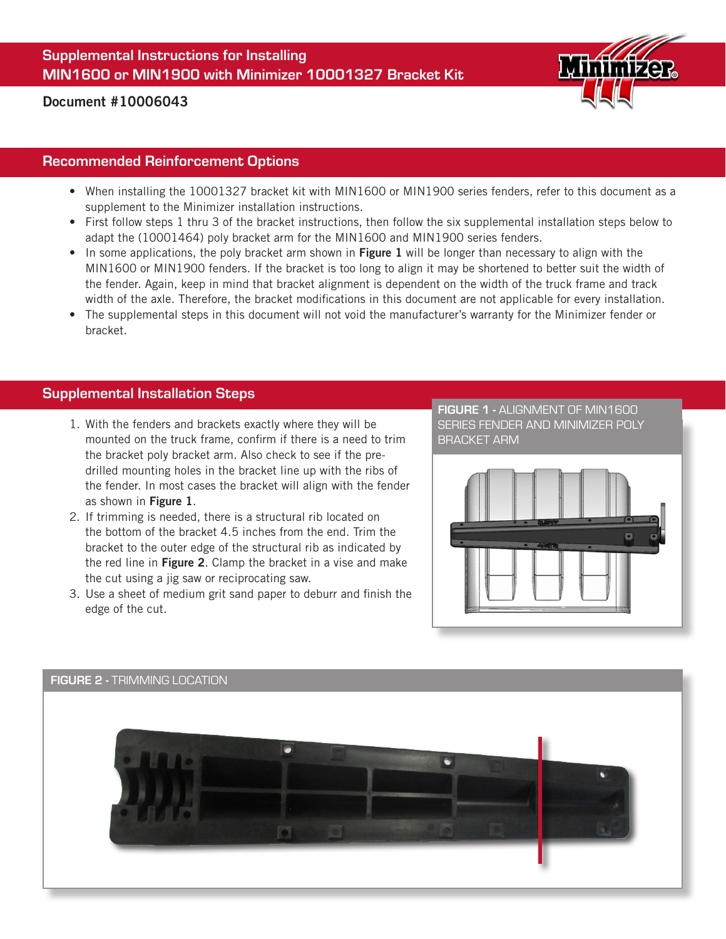Supplemental Instructions for Installing MIN1600 or MIN1900 with Minimizer 10001327 Bracket Kit



# Document #10006043

#### Recommended Reinforcement Options

- When installing the 10001327 bracket kit with MIN1600 or MIN1900 series fenders, refer to this document as a supplement to the Minimizer installation instructions.
- First follow steps 1 thru 3 of the bracket instructions, then follow the six supplemental installation steps below to adapt the (10001464) poly bracket arm for the MIN1600 and MIN1900 series fenders.
- In some applications, the poly bracket arm shown in Figure 1 will be longer than necessary to align with the MIN1600 or MIN1900 fenders. If the bracket is too long to align it may be shortened to better suit the width of the fender. Again, keep in mind that bracket alignment is dependent on the width of the truck frame and track width of the axle. Therefore, the bracket modifications in this document are not applicable for every installation.
- The supplemental steps in this document will not void the manufacturer's warranty for the Minimizer fender or bracket.

# Supplemental Installation Steps

- 1. With the fenders and brackets exactly where they will be mounted on the truck frame, confirm if there is a need to trim the bracket poly bracket arm. Also check to see if the predrilled mounting holes in the bracket line up with the ribs of the fender. In most cases the bracket will align with the fender as shown in Figure 1.
- 2. If trimming is needed, there is a structural rib located on the bottom of the bracket 4.5 inches from the end. Trim the bracket to the outer edge of the structural rib as indicated by the red line in **Figure 2.** Clamp the bracket in a vise and make the cut using a jig saw or reciprocating saw.
- 3. Use a sheet of medium grit sand paper to deburr and finish the edge of the cut.

FIGURE 1 - ALIGNMENT OF MIN1600 SERIES FENDER AND MINIMIZER POLY BRACKET ARM